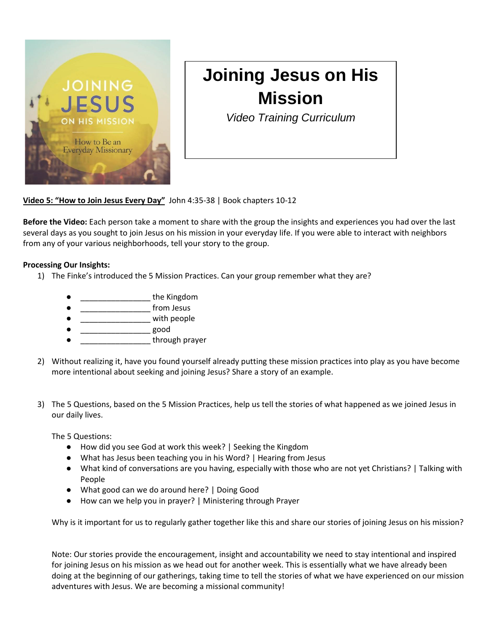

## **Joining Jesus on His Mission**

*Video Training Curriculum*

**Video 5: "How to Join Jesus Every Day"** John 4:35-38 | Book chapters 10-12

**Before the Video:** Each person take a moment to share with the group the insights and experiences you had over the last several days as you sought to join Jesus on his mission in your everyday life. If you were able to interact with neighbors from any of your various neighborhoods, tell your story to the group.

## **Processing Our Insights:**

- 1) The Finke's introduced the 5 Mission Practices. Can your group remember what they are?
	- end the Kingdom
	- from Jesus
	- **Example 1** with people
	- \_\_\_\_\_\_\_\_\_\_\_\_\_\_\_\_ good
	- through prayer
- 2) Without realizing it, have you found yourself already putting these mission practices into play as you have become more intentional about seeking and joining Jesus? Share a story of an example.
- 3) The 5 Questions, based on the 5 Mission Practices, help us tell the stories of what happened as we joined Jesus in our daily lives.

The 5 Questions:

- How did you see God at work this week? | Seeking the Kingdom
- What has Jesus been teaching you in his Word? | Hearing from Jesus
- What kind of conversations are you having, especially with those who are not yet Christians? | Talking with People
- What good can we do around here? | Doing Good
- How can we help you in prayer? | Ministering through Prayer

Why is it important for us to regularly gather together like this and share our stories of joining Jesus on his mission?

Note: Our stories provide the encouragement, insight and accountability we need to stay intentional and inspired for joining Jesus on his mission as we head out for another week. This is essentially what we have already been doing at the beginning of our gatherings, taking time to tell the stories of what we have experienced on our mission adventures with Jesus. We are becoming a missional community!